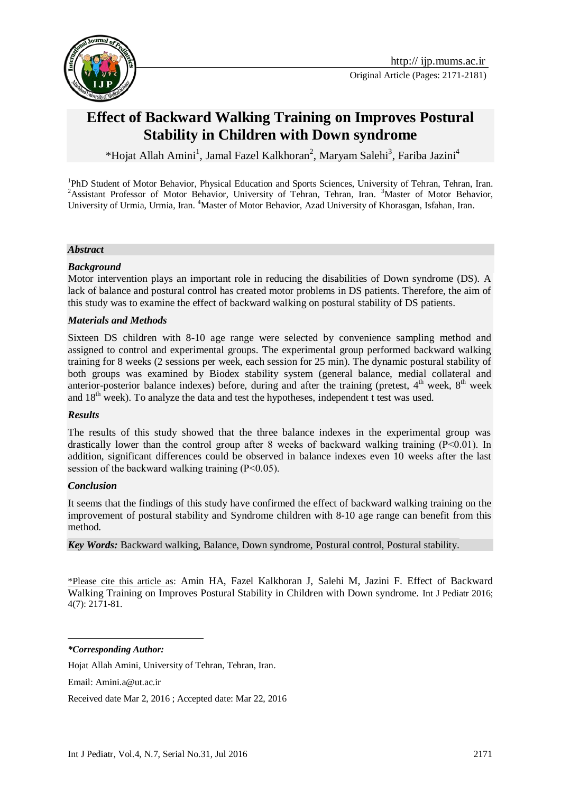

# **Effect of Backward Walking Training on Improves Postural Stability in Children with Down syndrome**

\*Hojat Allah Amini<sup>1</sup>, Jamal Fazel Kalkhoran<sup>2</sup>, Maryam Salehi<sup>3</sup>, Fariba Jazini<sup>4</sup>

<sup>1</sup>PhD Student of Motor Behavior, Physical Education and Sports Sciences, University of Tehran, Tehran, Iran. <sup>2</sup>Assistant Professor of Motor Behavior, University of Tehran, Tehran, Iran. <sup>3</sup>Master of Motor Behavior, University of Urmia, Urmia, Iran. <sup>4</sup>Master of Motor Behavior, Azad University of Khorasgan, Isfahan, Iran.

#### *Abstract*

#### *Background*

Motor intervention plays an important role in reducing the disabilities of Down syndrome (DS). A lack of balance and postural control has created motor problems in DS patients. Therefore, the aim of this study was to examine the effect of backward walking on postural stability of DS patients.

#### *Materials and Methods*

Sixteen DS children with 8-10 age range were selected by convenience sampling method and assigned to control and experimental groups. The experimental group performed backward walking training for 8 weeks (2 sessions per week, each session for 25 min). The dynamic postural stability of both groups was examined by Biodex stability system (general balance, medial collateral and anterior-posterior balance indexes) before, during and after the training (pretest,  $4<sup>th</sup>$  week,  $8<sup>th</sup>$  week and  $18<sup>th</sup>$  week). To analyze the data and test the hypotheses, independent t test was used.

#### *Results*

The results of this study showed that the three balance indexes in the experimental group was drastically lower than the control group after 8 weeks of backward walking training (P˂0.01). In addition, significant differences could be observed in balance indexes even 10 weeks after the last session of the backward walking training (P˂0.05).

#### *Conclusion*

It seems that the findings of this study have confirmed the effect of backward walking training on the improvement of postural stability and Syndrome children with 8-10 age range can benefit from this method.

*Key Words:* Backward walking, Balance, Down syndrome, Postural control, Postural stability.

\*Please cite this article as: Amin HA, Fazel Kalkhoran J, Salehi M, Jazini F. Effect of Backward Walking Training on Improves Postural Stability in Children with Down syndrome. Int J Pediatr 2016; 4(7): 2171-81.

*\*Corresponding Author:*

1

Hojat Allah Amini, University of Tehran, Tehran, Iran.

Email: [Amini.a@ut.ac.ir](mailto:Amini.a@ut.ac.ir)

Received date Mar 2, 2016 ; Accepted date: Mar 22, 2016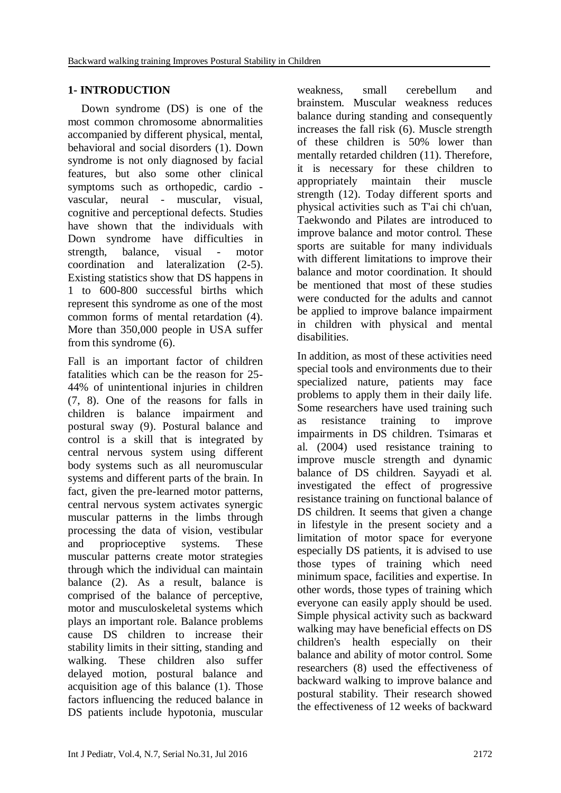## **1- INTRODUCTION**

Down syndrome (DS) is one of the most common chromosome abnormalities accompanied by different physical, mental, behavioral and social disorders (1). Down syndrome is not only diagnosed by facial features, but also some other clinical symptoms such as orthopedic, cardio vascular, neural - muscular, visual, cognitive and perceptional defects. Studies have shown that the individuals with Down syndrome have difficulties in strength, balance, visual - motor coordination and lateralization (2-5). Existing statistics show that DS happens in 1 to 600-800 successful births which represent this syndrome as one of the most common forms of mental retardation (4). More than 350,000 people in USA suffer from this syndrome (6).

Fall is an important factor of children fatalities which can be the reason for 25- 44% of unintentional injuries in children (7, 8). One of the reasons for falls in children is balance impairment and postural sway (9). Postural balance and control is a skill that is integrated by central nervous system using different body systems such as all neuromuscular systems and different parts of the brain. In fact, given the pre-learned motor patterns, central nervous system activates synergic muscular patterns in the limbs through processing the data of vision, vestibular and proprioceptive systems. These muscular patterns create motor strategies through which the individual can maintain balance (2). As a result, balance is comprised of the balance of perceptive, motor and musculoskeletal systems which plays an important role. Balance problems cause DS children to increase their stability limits in their sitting, standing and walking. These children also suffer delayed motion, postural balance and acquisition age of this balance (1). Those factors influencing the reduced balance in DS patients include hypotonia, muscular

weakness, small cerebellum and brainstem. Muscular weakness reduces balance during standing and consequently increases the fall risk (6). Muscle strength of these children is 50% lower than mentally retarded children (11). Therefore, it is necessary for these children to appropriately maintain their muscle strength (12). Today different sports and physical activities such as T'ai chi ch'uan, Taekwondo and Pilates are introduced to improve balance and motor control. These sports are suitable for many individuals with different limitations to improve their balance and motor coordination. It should be mentioned that most of these studies were conducted for the adults and cannot be applied to improve balance impairment in children with physical and mental disabilities.

In addition, as most of these activities need special tools and environments due to their specialized nature, patients may face problems to apply them in their daily life. Some researchers have used training such as resistance training to improve impairments in DS children. Tsimaras et al. (2004) used resistance training to improve muscle strength and dynamic balance of DS children. Sayyadi et al. investigated the effect of progressive resistance training on functional balance of DS children. It seems that given a change in lifestyle in the present society and a limitation of motor space for everyone especially DS patients, it is advised to use those types of training which need minimum space, facilities and expertise. In other words, those types of training which everyone can easily apply should be used. Simple physical activity such as backward walking may have beneficial effects on DS children's health especially on their balance and ability of motor control. Some researchers (8) used the effectiveness of backward walking to improve balance and postural stability. Their research showed the effectiveness of 12 weeks of backward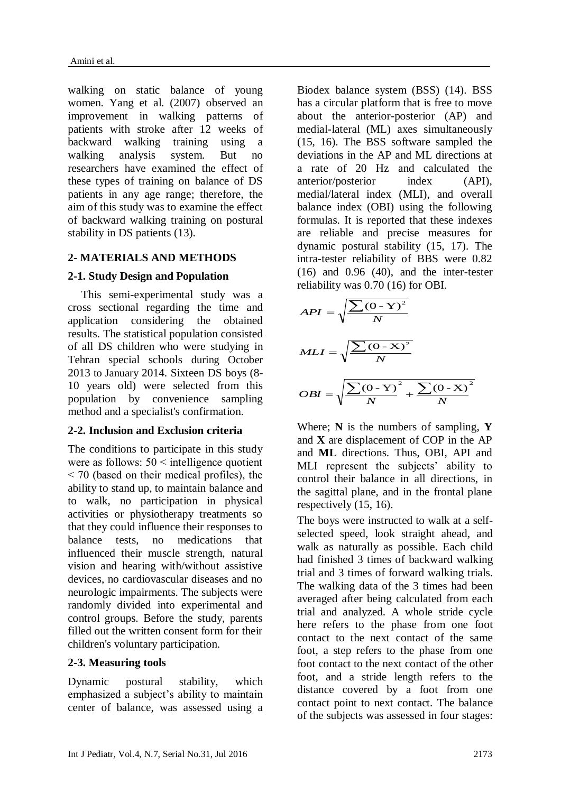walking on static balance of young women. Yang et al. (2007) observed an improvement in walking patterns of patients with stroke after 12 weeks of backward walking training using a walking analysis system. But no researchers have examined the effect of these types of training on balance of DS patients in any age range; therefore, the aim of this study was to examine the effect of backward walking training on postural stability in DS patients (13).

## **2- MATERIALS AND METHODS**

## **2-1. Study Design and Population**

This semi-experimental study was a cross sectional regarding the time and application considering the obtained results. The statistical population consisted of all DS children who were studying in Tehran special schools during October 2013 to January 2014. Sixteen DS boys (8- 10 years old) were selected from this population by convenience sampling method and a specialist's confirmation.

### **2-2. Inclusion and Exclusion criteria**

The conditions to participate in this study were as follows:  $50 \leq \text{intelligence quotient}$  $\leq$  70 (based on their medical profiles), the ability to stand up, to maintain balance and to walk, no participation in physical activities or physiotherapy treatments so that they could influence their responses to balance tests, no medications that influenced their muscle strength, natural vision and hearing with/without assistive devices, no cardiovascular diseases and no neurologic impairments. The subjects were randomly divided into experimental and control groups. Before the study, parents filled out the written consent form for their children's voluntary participation.

### **2-3. Measuring tools**

Dynamic postural stability, which emphasized a subject's ability to maintain center of balance, was assessed using a Biodex balance system (BSS) (14). BSS has a circular platform that is free to move about the anterior-posterior (AP) and medial-lateral (ML) axes simultaneously (15, 16). The BSS software sampled the deviations in the AP and ML directions at a rate of 20 Hz and calculated the anterior/posterior index (API), medial/lateral index (MLI), and overall balance index (OBI) using the following formulas. It is reported that these indexes are reliable and precise measures for dynamic postural stability (15, 17). The intra-tester reliability of BBS were 0.82 (16) and 0.96 (40), and the inter-tester reliability was 0.70 (16) for OBI.

$$
API = \sqrt{\frac{\sum (0 - Y)^2}{N}}
$$
  

$$
MLI = \sqrt{\frac{\sum (0 - X)^2}{N}}
$$
  

$$
OBI = \sqrt{\frac{\sum (0 - Y)^2}{N} + \frac{\sum (0 - X)^2}{N}}
$$

Where; **N** is the numbers of sampling, **Y** and **X** are displacement of COP in the AP and **ML** directions. Thus, OBI, API and MLI represent the subjects' ability to control their balance in all directions, in the sagittal plane, and in the frontal plane respectively (15, 16).

The boys were instructed to walk at a selfselected speed, look straight ahead, and walk as naturally as possible. Each child had finished 3 times of backward walking trial and 3 times of forward walking trials. The walking data of the 3 times had been averaged after being calculated from each trial and analyzed. A whole stride cycle here refers to the phase from one foot contact to the next contact of the same foot, a step refers to the phase from one foot contact to the next contact of the other foot, and a stride length refers to the distance covered by a foot from one contact point to next contact. The balance of the subjects was assessed in four stages: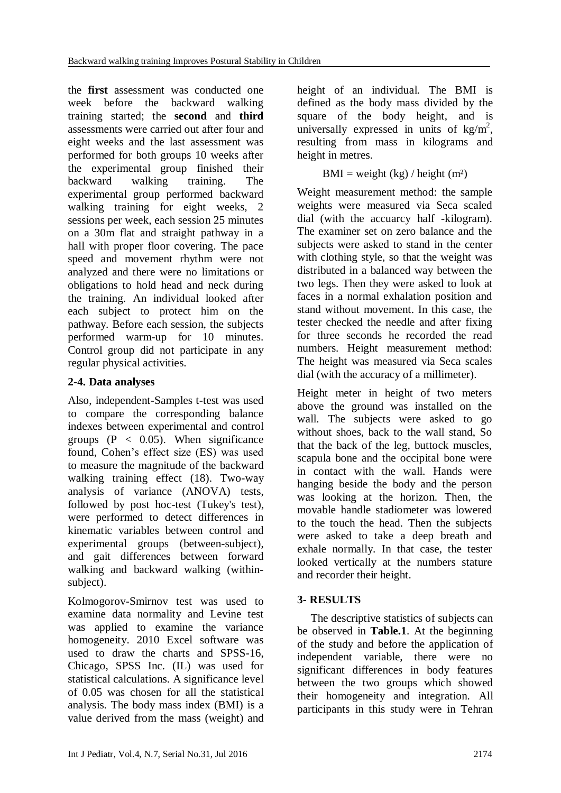the **first** assessment was conducted one week before the backward walking training started; the **second** and **third** assessments were carried out after four and eight weeks and the last assessment was performed for both groups 10 weeks after the experimental group finished their backward walking training. The experimental group performed backward walking training for eight weeks, 2 sessions per week, each session 25 minutes on a 30m flat and straight pathway in a hall with proper floor covering. The pace speed and movement rhythm were not analyzed and there were no limitations or obligations to hold head and neck during the training. An individual looked after each subject to protect him on the pathway. Before each session, the subjects performed warm-up for 10 minutes. Control group did not participate in any regular physical activities.

## **2-4. Data analyses**

Also, independent-Samples t-test was used to compare the corresponding balance indexes between experimental and control groups  $(P < 0.05)$ . When significance found, Cohen's effect size (ES) was used to measure the magnitude of the backward walking training effect (18). Two-way analysis of variance (ANOVA) tests, followed by post hoc-test (Tukey's test), were performed to detect differences in kinematic variables between control and experimental groups (between-subject), and gait differences between forward walking and backward walking (withinsubject).

Kolmogorov-Smirnov test was used to examine data normality and Levine test was applied to examine the variance homogeneity. 2010 Excel software was used to draw the charts and SPSS-16, Chicago, SPSS Inc. (IL) was used for statistical calculations. A significance level of 0.05 was chosen for all the statistical analysis. The body mass index (BMI) is a value derived from the mass (weight) and height of an individual. The BMI is defined as the body mass divided by the square of the body height, and is universally expressed in units of  $\text{kg/m}^2$ , resulting from mass in kilograms and height in [metres.](https://en.wikipedia.org/wiki/Metre)

 $BMI = weight (kg) / height (m<sup>2</sup>)$ 

Weight measurement method: the sample weights were measured via Seca scaled dial (with the accuarcy half -kilogram). The examiner set on zero balance and the subjects were asked to stand in the center with clothing style, so that the weight was distributed in a balanced way between the two legs. Then they were asked to look at faces in a normal exhalation position and stand without movement. In this case, the tester checked the needle and after fixing for three seconds he recorded the read numbers. Height measurement method: The height was measured via Seca scales dial (with the accuracy of a millimeter).

Height meter in height of two meters above the ground was installed on the wall. The subjects were asked to go without shoes, back to the wall stand, So that the back of the leg, buttock muscles, scapula bone and the occipital bone were in contact with the wall. Hands were hanging beside the body and the person was looking at the horizon. Then, the movable handle stadiometer was lowered to the touch the head. Then the subjects were asked to take a deep breath and exhale normally. In that case, the tester looked vertically at the numbers stature and recorder their height.

## **3- RESULTS**

The descriptive statistics of subjects can be observed in **Table.1**. At the beginning of the study and before the application of independent variable, there were no significant differences in body features between the two groups which showed their homogeneity and integration. All participants in this study were in Tehran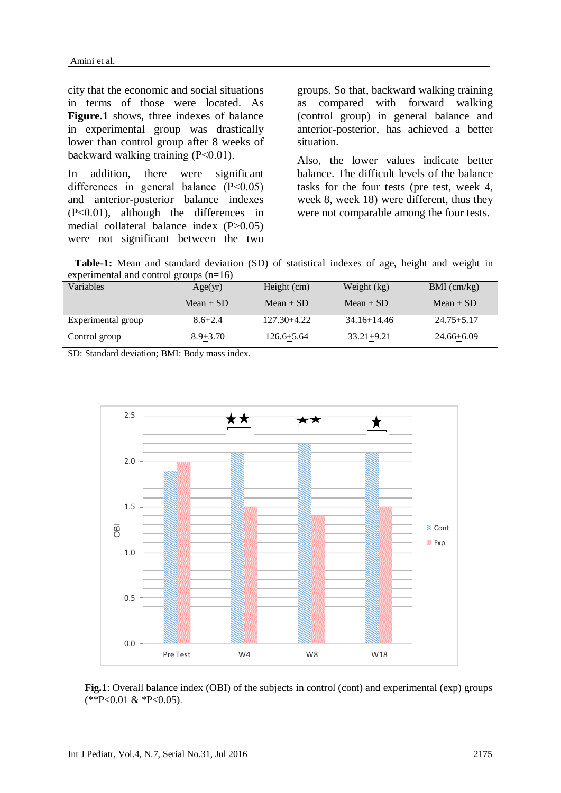city that the economic and social situations in terms of those were located. As **Figure.1** shows, three indexes of balance in experimental group was drastically lower than control group after 8 weeks of backward walking training (P˂0.01).

In addition, there were significant differences in general balance (P˂0.05) and anterior-posterior balance indexes (P˂0.01), although the differences in medial collateral balance index (P>0.05) were not significant between the two groups. So that, backward walking training as compared with forward walking (control group) in general balance and anterior-posterior, has achieved a better situation.

Also, the lower values indicate better balance. The difficult levels of the balance tasks for the four tests (pre test, week 4, week 8, week 18) were different, thus they were not comparable among the four tests.

 **Table-1:** Mean and standard deviation (SD) of statistical indexes of age, height and weight in experimental and control groups (n=16)

| Variables          | Age(yr)      | Height (cm)    | Weight (kg)     | $BMI$ (cm/kg)  |
|--------------------|--------------|----------------|-----------------|----------------|
|                    | $Mean + SD$  | $Mean + SD$    | $Mean + SD$     | $Mean + SD$    |
| Experimental group | $8.6 + 2.4$  | 127.30+4.22    | $34.16 + 14.46$ | $24.75 + 5.17$ |
| Control group      | $8.9 + 3.70$ | $126.6 + 5.64$ | $33.21 + 9.21$  | $24.66 + 6.09$ |

SD: Standard deviation; BMI: Body mass index.



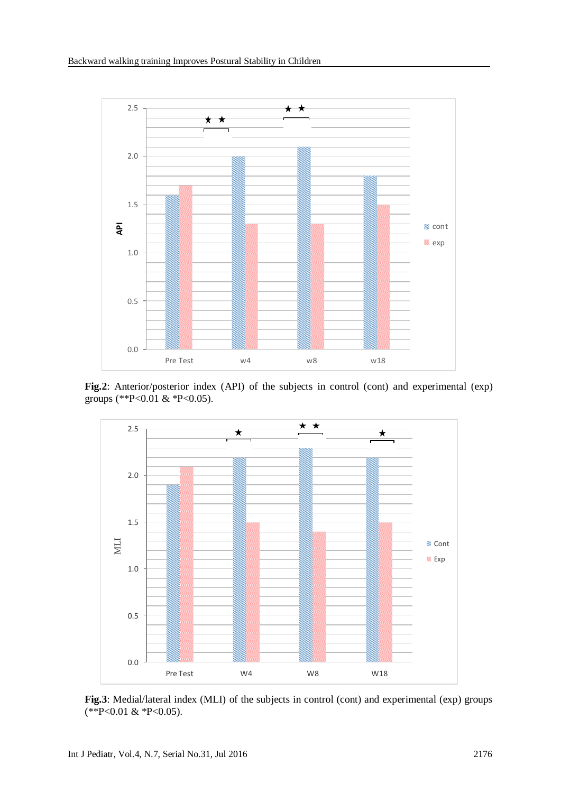

**Fig.2**: Anterior/posterior index (API) of the subjects in control (cont) and experimental (exp) groups (\*\*P<0.01 & \*P<0.05).



**Fig.3**: Medial/lateral index (MLI) of the subjects in control (cont) and experimental (exp) groups (\*\*P<0.01 & \*P<0.05).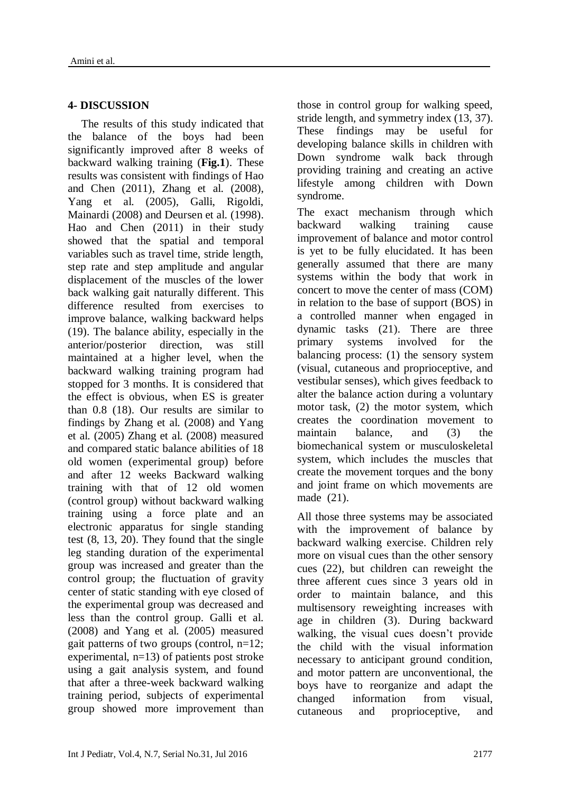## **4- DISCUSSION**

The results of this study indicated that the balance of the boys had been significantly improved after 8 weeks of backward walking training (**Fig.1**). These results was consistent with findings of Hao and Chen (2011), Zhang et al. (2008), Yang et al. (2005), Galli, Rigoldi, Mainardi (2008) and Deursen et al. (1998). Hao and Chen (2011) in their study showed that the spatial and temporal variables such as travel time, stride length, step rate and step amplitude and angular displacement of the muscles of the lower back walking gait naturally different. This difference resulted from exercises to improve balance, walking backward helps (19). The balance ability, especially in the anterior/posterior direction, was still maintained at a higher level, when the backward walking training program had stopped for 3 months. It is considered that the effect is obvious, when ES is greater than 0.8 (18). Our results are similar to findings by Zhang et al. (2008) and Yang et al. (2005) Zhang et al. (2008) measured and compared static balance abilities of 18 old women (experimental group) before and after 12 weeks Backward walking training with that of 12 old women (control group) without backward walking training using a force plate and an electronic apparatus for single standing test (8, 13, 20). They found that the single leg standing duration of the experimental group was increased and greater than the control group; the fluctuation of gravity center of static standing with eye closed of the experimental group was decreased and less than the control group. Galli et al. (2008) and Yang et al. (2005) measured gait patterns of two groups (control,  $n=12$ ; experimental, n=13) of patients post stroke using a gait analysis system, and found that after a three-week backward walking training period, subjects of experimental group showed more improvement than those in control group for walking speed, stride length, and symmetry index (13, 37). These findings may be useful for developing balance skills in children with Down syndrome walk back through providing training and creating an active lifestyle among children with Down syndrome.

The exact mechanism through which backward walking training cause improvement of balance and motor control is yet to be fully elucidated. It has been generally assumed that there are many systems within the body that work in concert to move the center of mass (COM) in relation to the base of support (BOS) in a controlled manner when engaged in dynamic tasks (21). There are three primary systems involved for the balancing process: (1) the sensory system (visual, cutaneous and proprioceptive, and vestibular senses), which gives feedback to alter the balance action during a voluntary motor task, (2) the motor system, which creates the coordination movement to maintain balance, and (3) the biomechanical system or musculoskeletal system, which includes the muscles that create the movement torques and the bony and joint frame on which movements are made (21).

All those three systems may be associated with the improvement of balance by backward walking exercise. Children rely more on visual cues than the other sensory cues (22), but children can reweight the three afferent cues since 3 years old in order to maintain balance, and this multisensory reweighting increases with age in children (3). During backward walking, the visual cues doesn't provide the child with the visual information necessary to anticipant ground condition, and motor pattern are unconventional, the boys have to reorganize and adapt the changed information from visual, cutaneous and proprioceptive, and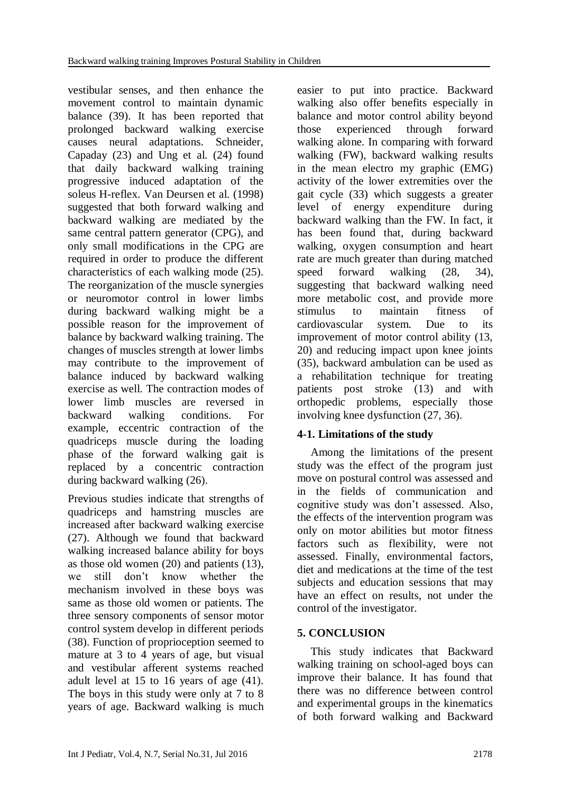vestibular senses, and then enhance the movement control to maintain dynamic balance (39). It has been reported that prolonged backward walking exercise causes neural adaptations. Schneider, Capaday (23) and Ung et al. (24) found that daily backward walking training progressive induced adaptation of the soleus H-reflex. Van Deursen et al. (1998) suggested that both forward walking and backward walking are mediated by the same central pattern generator (CPG), and only small modifications in the CPG are required in order to produce the different characteristics of each walking mode (25). The reorganization of the muscle synergies or neuromotor control in lower limbs during backward walking might be a possible reason for the improvement of balance by backward walking training. The changes of muscles strength at lower limbs may contribute to the improvement of balance induced by backward walking exercise as well. The contraction modes of lower limb muscles are reversed in backward walking conditions. For example, eccentric contraction of the quadriceps muscle during the loading phase of the forward walking gait is replaced by a concentric contraction during backward walking (26).

Previous studies indicate that strengths of quadriceps and hamstring muscles are increased after backward walking exercise (27). Although we found that backward walking increased balance ability for boys as those old women (20) and patients (13), we still don't know whether the mechanism involved in these boys was same as those old women or patients. The three sensory components of sensor motor control system develop in different periods (38). Function of proprioception seemed to mature at 3 to 4 years of age, but visual and vestibular afferent systems reached adult level at 15 to 16 years of age (41). The boys in this study were only at 7 to 8 years of age. Backward walking is much

easier to put into practice. Backward walking also offer benefits especially in balance and motor control ability beyond those experienced through forward walking alone. In comparing with forward walking (FW), backward walking results in the mean electro my graphic (EMG) activity of the lower extremities over the gait cycle (33) which suggests a greater level of energy expenditure during backward walking than the FW. In fact, it has been found that, during backward walking, oxygen consumption and heart rate are much greater than during matched speed forward walking (28, 34), suggesting that backward walking need more metabolic cost, and provide more stimulus to maintain fitness of cardiovascular system. Due to its improvement of motor control ability (13, 20) and reducing impact upon knee joints (35), backward ambulation can be used as a rehabilitation technique for treating patients post stroke (13) and with orthopedic problems, especially those involving knee dysfunction (27, 36).

## **4-1. Limitations of the study**

Among the limitations of the present study was the effect of the program just move on postural control was assessed and in the fields of communication and cognitive study was don't assessed. Also, the effects of the intervention program was only on motor abilities but motor fitness factors such as flexibility, were not assessed. Finally, environmental factors, diet and medications at the time of the test subjects and education sessions that may have an effect on results, not under the control of the investigator.

## **5. CONCLUSION**

This study indicates that Backward walking training on school-aged boys can improve their balance. It has found that there was no difference between control and experimental groups in the kinematics of both forward walking and Backward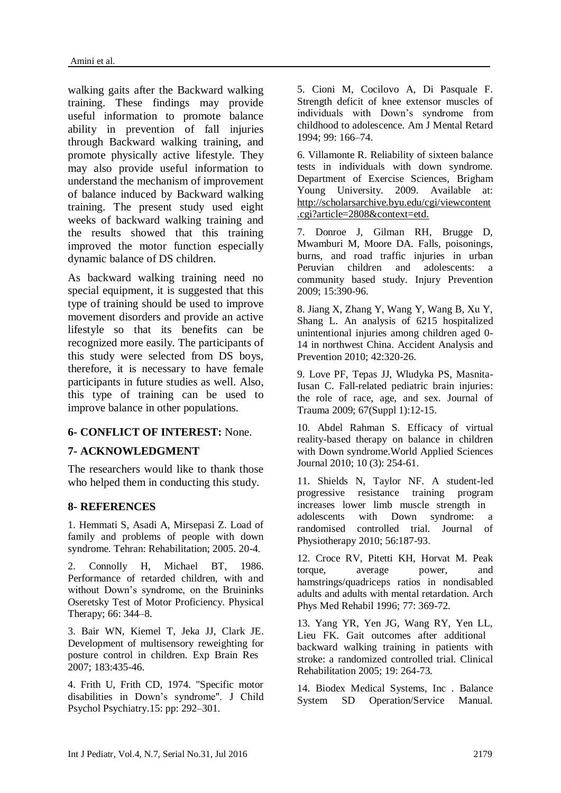walking gaits after the Backward walking training. These findings may provide useful information to promote balance ability in prevention of fall injuries through Backward walking training, and promote physically active lifestyle. They may also provide useful information to understand the mechanism of improvement of balance induced by Backward walking training. The present study used eight weeks of backward walking training and the results showed that this training improved the motor function especially dynamic balance of DS children.

As backward walking training need no special equipment, it is suggested that this type of training should be used to improve movement disorders and provide an active lifestyle so that its benefits can be recognized more easily. The participants of this study were selected from DS boys, therefore, it is necessary to have female participants in future studies as well. Also, this type of training can be used to improve balance in other populations.

#### **6- CONFLICT OF INTEREST:** None.

### **7- ACKNOWLEDGMENT**

The researchers would like to thank those who helped them in conducting this study.

#### **8- REFERENCES**

1. Hemmati S, Asadi A, Mirsepasi Z. Load of family and problems of people with down syndrome. Tehran: Rehabilitation; 2005. 20-4.

2. Connolly H, Michael BT, 1986. Performance of retarded children, with and without Down's syndrome, on the Bruininks Oseretsky Test of Motor Proficiency. Physical Therapy; 66: 344–8.

3. Bair WN, Kiemel T, Jeka JJ, Clark JE. Development of multisensory reweighting for posture control in children. Exp Brain Res 2007; 183:435-46.

4. Frith U, Frith CD, 1974. "Specific motor disabilities in Down's syndrome". J Child Psychol Psychiatry.15: pp: 292–301.

5. Cioni M, Cocilovo A, Di Pasquale F. Strength deficit of knee extensor muscles of individuals with Down's syndrome from childhood to adolescence. Am J Mental Retard 1994; 99: 166–74.

6. Villamonte R. Reliability of sixteen balance tests in individuals with down syndrome. Department of Exercise Sciences, Brigham Young University. 2009. Available at: http://scholarsarchive.byu.edu/cgi/viewcontent .cgi?article=2808&context=etd.

7. Donroe J, Gilman RH, Brugge D, Mwamburi M, Moore DA. Falls, poisonings, burns, and road traffic injuries in urban Peruvian children and adolescents: a community based study. Injury Prevention 2009; 15:390-96.

8. Jiang X, Zhang Y, Wang Y, Wang B, Xu Y, Shang L. An analysis of 6215 hospitalized unintentional injuries among children aged 0- 14 in northwest China. Accident Analysis and Prevention 2010; 42:320-26.

9. Love PF, Tepas JJ, Wludyka PS, Masnita-Iusan C. Fall-related pediatric brain injuries: the role of race, age, and sex. Journal of Trauma 2009; 67(Suppl 1):12-15.

10. Abdel Rahman S. Efficacy of virtual reality-based therapy on balance in children with Down syndrome.World Applied Sciences Journal 2010; 10 (3): 254-61.

11. Shields N, Taylor NF. A student-led progressive resistance training program increases lower limb muscle strength in adolescents with Down syndrome: a randomised controlled trial. Journal of Physiotherapy 2010; 56:187-93.

12. Croce RV, Pitetti KH, Horvat M. Peak torque, average power, and hamstrings/quadriceps ratios in nondisabled adults and adults with mental retardation. Arch Phys Med Rehabil 1996; 77: 369-72.

13. Yang YR, Yen JG, Wang RY, Yen LL, Lieu FK. Gait outcomes after additional backward walking training in patients with stroke: a randomized controlled trial. Clinical Rehabilitation 2005; 19: 264-73.

14. Biodex Medical Systems, Inc . Balance System SD Operation/Service Manual.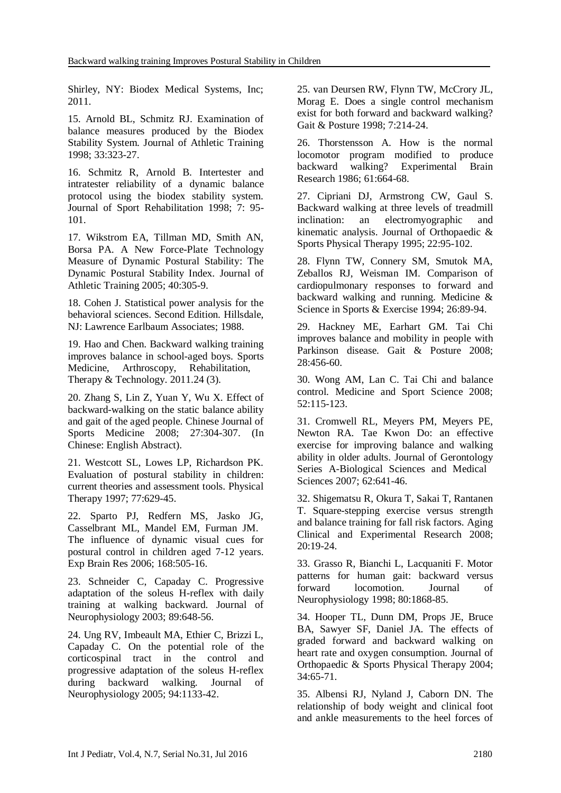Shirley, NY: Biodex Medical Systems, Inc; 2011.

15. Arnold BL, Schmitz RJ. Examination of balance measures produced by the Biodex Stability System. Journal of Athletic Training 1998; 33:323-27.

16. Schmitz R, Arnold B. Intertester and intratester reliability of a dynamic balance protocol using the biodex stability system. Journal of Sport Rehabilitation 1998; 7: 95- 101.

17. Wikstrom EA, Tillman MD, Smith AN, Borsa PA. A New Force-Plate Technology Measure of Dynamic Postural Stability: The Dynamic Postural Stability Index. Journal of Athletic Training 2005; 40:305-9.

18. Cohen J. Statistical power analysis for the behavioral sciences. Second Edition. Hillsdale, NJ: Lawrence Earlbaum Associates; 1988.

19. Hao and Chen. Backward walking training improves balance in school-aged boys. Sports Medicine, Arthroscopy, Rehabilitation, Therapy & Technology. 2011.24 (3).

20. Zhang S, Lin Z, Yuan Y, Wu X. Effect of backward-walking on the static balance ability and gait of the aged people. Chinese Journal of Sports Medicine 2008; 27:304-307. (In Chinese: English Abstract).

21. Westcott SL, Lowes LP, Richardson PK. Evaluation of postural stability in children: current theories and assessment tools. Physical Therapy 1997; 77:629-45.

22. Sparto PJ, Redfern MS, Jasko JG, Casselbrant ML, Mandel EM, Furman JM. The influence of dynamic visual cues for postural control in children aged 7-12 years. Exp Brain Res 2006; 168:505-16.

23. Schneider C, Capaday C. Progressive adaptation of the soleus H-reflex with daily training at walking backward. Journal of Neurophysiology 2003; 89:648-56.

24. Ung RV, Imbeault MA, Ethier C, Brizzi L, Capaday C. On the potential role of the corticospinal tract in the control and progressive adaptation of the soleus H-reflex during backward walking. Journal of Neurophysiology 2005; 94:1133-42.

25. van Deursen RW, Flynn TW, McCrory JL, Morag E. Does a single control mechanism exist for both forward and backward walking? Gait & Posture 1998; 7:214-24.

26. Thorstensson A. How is the normal locomotor program modified to produce backward walking? Experimental Brain Research 1986; 61:664-68.

27. Cipriani DJ, Armstrong CW, Gaul S. Backward walking at three levels of treadmill inclination: an electromyographic and kinematic analysis. Journal of Orthopaedic & Sports Physical Therapy 1995; 22:95-102.

28. Flynn TW, Connery SM, Smutok MA, Zeballos RJ, Weisman IM. Comparison of cardiopulmonary responses to forward and backward walking and running. Medicine & Science in Sports & Exercise 1994; 26:89-94.

29. Hackney ME, Earhart GM. Tai Chi improves balance and mobility in people with Parkinson disease. Gait & Posture 2008; 28:456-60.

30. Wong AM, Lan C. Tai Chi and balance control. Medicine and Sport Science 2008; 52:115-123.

31. Cromwell RL, Meyers PM, Meyers PE, Newton RA. Tae Kwon Do: an effective exercise for improving balance and walking ability in older adults. Journal of Gerontology Series A-Biological Sciences and Medical Sciences 2007; 62:641-46.

32. Shigematsu R, Okura T, Sakai T, Rantanen T. Square-stepping exercise versus strength and balance training for fall risk factors. Aging Clinical and Experimental Research 2008; 20:19-24.

33. Grasso R, Bianchi L, Lacquaniti F. Motor patterns for human gait: backward versus forward locomotion. Journal of Neurophysiology 1998; 80:1868-85.

34. Hooper TL, Dunn DM, Props JE, Bruce BA, Sawyer SF, Daniel JA. The effects of graded forward and backward walking on heart rate and oxygen consumption. Journal of Orthopaedic & Sports Physical Therapy 2004; 34:65-71.

35. Albensi RJ, Nyland J, Caborn DN. The relationship of body weight and clinical foot and ankle measurements to the heel forces of